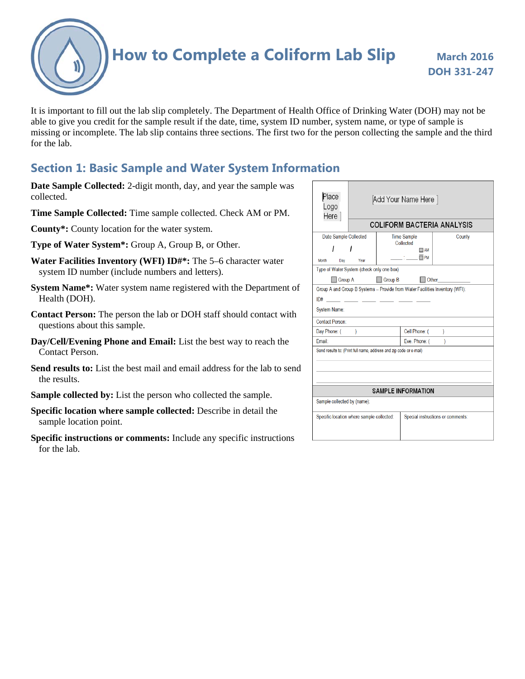**How to Complete a Coliform Lab Slip March 2016** 

It is important to fill out the lab slip completely. The Department of Health Office of Drinking Water (DOH) may not be able to give you credit for the sample result if the date, time, system ID number, system name, or type of sample is missing or incomplete. The lab slip contains three sections. The first two for the person collecting the sample and the third for the lab.

### **Section 1: Basic Sample and Water System Information**

- **Date Sample Collected:** 2-digit month, day, and year the sample was collected.
- **Time Sample Collected:** Time sample collected. Check AM or PM.
- **County\*:** County location for the water system.
- **Type of Water System\*:** Group A, Group B, or Other.
- **Water Facilities Inventory (WFI) ID#\*:** The 5–6 character water system ID number (include numbers and letters).
- **System Name\*:** Water system name registered with the Department of Health (DOH).
- **Contact Person:** The person the lab or DOH staff should contact with questions about this sample.
- **Day/Cell/Evening Phone and Email:** List the best way to reach the Contact Person.
- **Send results to:** List the best mail and email address for the lab to send the results.
- **Sample collected by:** List the person who collected the sample.
- **Specific location where sample collected:** Describe in detail the sample location point.
- **Specific instructions or comments:** Include any specific instructions for the lab.

| Place<br>Logo<br>Here                                              | Add Your Name Here  <br><b>COLIFORM BACTERIA ANALYSIS</b> |                                 |                                   |                                                                              |  |  |  |  |
|--------------------------------------------------------------------|-----------------------------------------------------------|---------------------------------|-----------------------------------|------------------------------------------------------------------------------|--|--|--|--|
| Date Sample Collected<br>ı                                         |                                                           | <b>Time Sample</b><br>Collected | County                            |                                                                              |  |  |  |  |
| Month<br>Day                                                       | Year                                                      |                                 | $\Box$ AM<br>$\Box$ PM            |                                                                              |  |  |  |  |
| Type of Water System (check only one box)                          |                                                           |                                 |                                   |                                                                              |  |  |  |  |
| Group A<br>Group B<br><b>Other</b>                                 |                                                           |                                 |                                   |                                                                              |  |  |  |  |
|                                                                    |                                                           |                                 |                                   | Group A and Group B Systems - Provide from Water Facilities Inventory (WFI): |  |  |  |  |
| ID#                                                                |                                                           |                                 |                                   |                                                                              |  |  |  |  |
| <b>System Name:</b>                                                |                                                           |                                 |                                   |                                                                              |  |  |  |  |
| Contact Person:                                                    |                                                           |                                 |                                   |                                                                              |  |  |  |  |
| Day Phone: (<br>$\lambda$                                          |                                                           |                                 | Cell Phone: (<br>$\lambda$        |                                                                              |  |  |  |  |
| <b>Fmail:</b>                                                      |                                                           |                                 | Eve. Phone: (<br>V                |                                                                              |  |  |  |  |
| Send results to: (Print full name, address and zip code or e-mail) |                                                           |                                 |                                   |                                                                              |  |  |  |  |
| <b>SAMPLE INFORMATION</b>                                          |                                                           |                                 |                                   |                                                                              |  |  |  |  |
| Sample collected by (name):                                        |                                                           |                                 |                                   |                                                                              |  |  |  |  |
| Specific location where sample collected:                          |                                                           |                                 | Special instructions or comments: |                                                                              |  |  |  |  |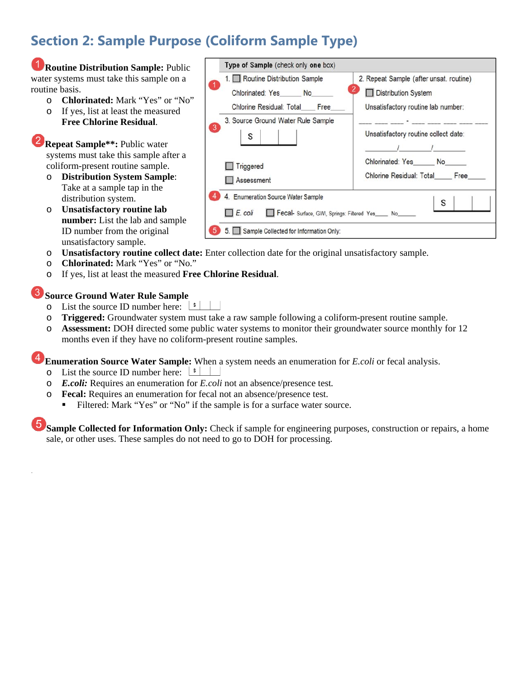# **Section 2: Sample Purpose (Coliform Sample Type)**



- o **Chlorinated:** Mark "Yes" or "No."
- o If yes, list at least the measured **Free Chlorine Residual**.

#### **Source Ground Water Rule Sample**

.

- $\circ$  List the source ID number here:  $\frac{\lfloor s \rfloor}{\lfloor s \rfloor}$
- o **Triggered:** Groundwater system must take a raw sample following a coliform-present routine sample.
- o **Assessment:** DOH directed some public water systems to monitor their groundwater source monthly for 12 months even if they have no coliform-present routine samples.

**Enumeration Source Water Sample:** When a system needs an enumeration for *E.coli* or fecal analysis.

- $\circ$  List the source ID number here:  $\frac{\cdot}{\cdot}$
- o *E.coli:* Requires an enumeration for *E.coli* not an absence/presence test*.*
- o **Fecal:** Requires an enumeration for fecal not an absence/presence test.
	- Filtered: Mark "Yes" or "No" if the sample is for a surface water source.

**Sample Collected for Information Only:** Check if sample for engineering purposes, construction or repairs, a home sale, or other uses. These samples do not need to go to DOH for processing.